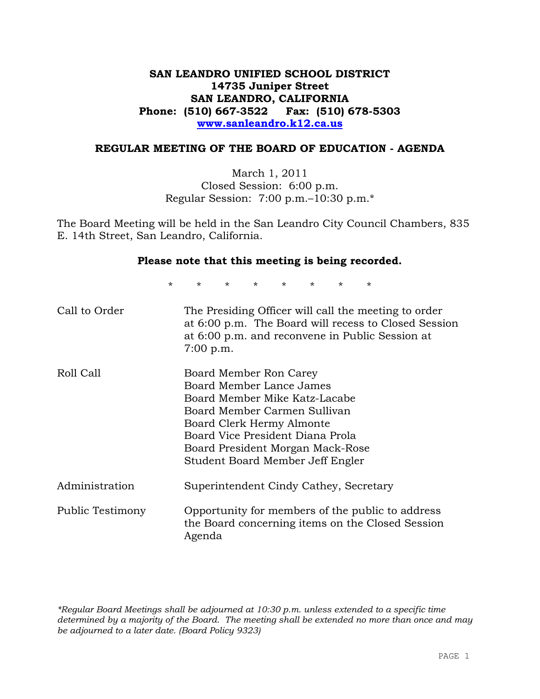# **SAN LEANDRO UNIFIED SCHOOL DISTRICT 14735 Juniper Street SAN LEANDRO, CALIFORNIA Phone: (510) 667-3522 Fax: (510) 678-5303 www.sanleandro.k12.ca.us**

## **REGULAR MEETING OF THE BOARD OF EDUCATION - AGENDA**

March 1, 2011 Closed Session: 6:00 p.m. Regular Session: 7:00 p.m.–10:30 p.m.\*

The Board Meeting will be held in the San Leandro City Council Chambers, 835 E. 14th Street, San Leandro, California.

### **Please note that this meeting is being recorded.**

\* \* \* \* \* \* \* \*

| Call to Order    | The Presiding Officer will call the meeting to order<br>at 6:00 p.m. The Board will recess to Closed Session<br>at 6:00 p.m. and reconvene in Public Session at<br>$7:00$ p.m.                                                                               |
|------------------|--------------------------------------------------------------------------------------------------------------------------------------------------------------------------------------------------------------------------------------------------------------|
| Roll Call        | Board Member Ron Carey<br>Board Member Lance James<br>Board Member Mike Katz-Lacabe<br>Board Member Carmen Sullivan<br>Board Clerk Hermy Almonte<br>Board Vice President Diana Prola<br>Board President Morgan Mack-Rose<br>Student Board Member Jeff Engler |
| Administration   | Superintendent Cindy Cathey, Secretary                                                                                                                                                                                                                       |
| Public Testimony | Opportunity for members of the public to address<br>the Board concerning items on the Closed Session<br>Agenda                                                                                                                                               |

*\*Regular Board Meetings shall be adjourned at 10:30 p.m. unless extended to a specific time determined by a majority of the Board. The meeting shall be extended no more than once and may be adjourned to a later date. (Board Policy 9323)*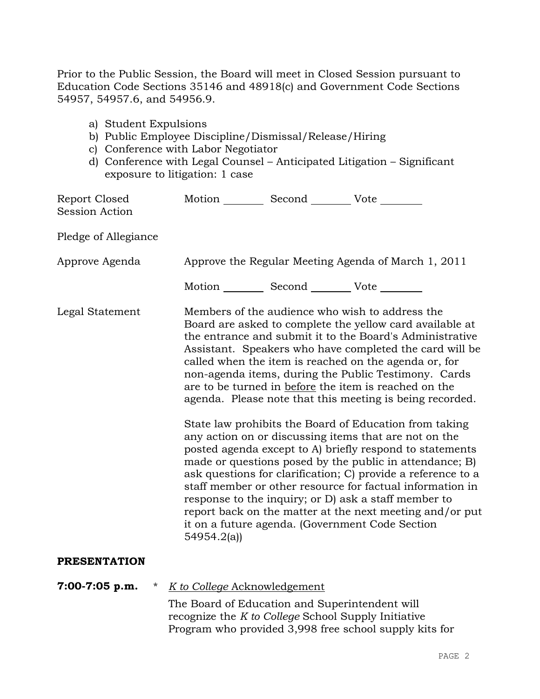Prior to the Public Session, the Board will meet in Closed Session pursuant to Education Code Sections 35146 and 48918(c) and Government Code Sections 54957, 54957.6, and 54956.9.

- a) Student Expulsions
- b) Public Employee Discipline/Dismissal/Release/Hiring
- c) Conference with Labor Negotiator
- d) Conference with Legal Counsel Anticipated Litigation Significant exposure to litigation: 1 case

| Report Closed<br><b>Session Action</b> |                                                                                                       | Motion __________ Second __________ Vote ________ |                                                                                                                                                                                                                                                                                                                                                                                                                                                                                                                                            |
|----------------------------------------|-------------------------------------------------------------------------------------------------------|---------------------------------------------------|--------------------------------------------------------------------------------------------------------------------------------------------------------------------------------------------------------------------------------------------------------------------------------------------------------------------------------------------------------------------------------------------------------------------------------------------------------------------------------------------------------------------------------------------|
| Pledge of Allegiance                   |                                                                                                       |                                                   |                                                                                                                                                                                                                                                                                                                                                                                                                                                                                                                                            |
| Approve Agenda                         |                                                                                                       |                                                   | Approve the Regular Meeting Agenda of March 1, 2011                                                                                                                                                                                                                                                                                                                                                                                                                                                                                        |
|                                        |                                                                                                       | Motion __________ Second __________ Vote ________ |                                                                                                                                                                                                                                                                                                                                                                                                                                                                                                                                            |
| Legal Statement                        |                                                                                                       |                                                   | Members of the audience who wish to address the<br>Board are asked to complete the yellow card available at<br>the entrance and submit it to the Board's Administrative<br>Assistant. Speakers who have completed the card will be<br>called when the item is reached on the agenda or, for<br>non-agenda items, during the Public Testimony. Cards<br>are to be turned in before the item is reached on the<br>agenda. Please note that this meeting is being recorded.                                                                   |
|                                        | 54954.2(a)                                                                                            |                                                   | State law prohibits the Board of Education from taking<br>any action on or discussing items that are not on the<br>posted agenda except to A) briefly respond to statements<br>made or questions posed by the public in attendance; B)<br>ask questions for clarification; C) provide a reference to a<br>staff member or other resource for factual information in<br>response to the inquiry; or D) ask a staff member to<br>report back on the matter at the next meeting and/or put<br>it on a future agenda. (Government Code Section |
| <b>PRESENTATION</b>                    |                                                                                                       |                                                   |                                                                                                                                                                                                                                                                                                                                                                                                                                                                                                                                            |
| $7:00-7:05$ p.m.<br>$\ast$             | K to College Acknowledgement                                                                          |                                                   |                                                                                                                                                                                                                                                                                                                                                                                                                                                                                                                                            |
|                                        | The Board of Education and Superintendent will<br>recognize the K to College School Supply Initiative |                                                   | Program who provided 3,998 free school supply kits for                                                                                                                                                                                                                                                                                                                                                                                                                                                                                     |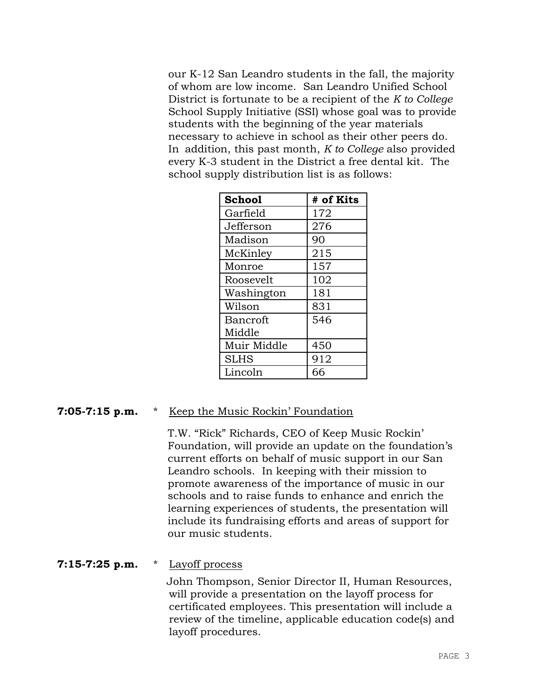our K-12 San Leandro students in the fall, the majority of whom are low income. San Leandro Unified School District is fortunate to be a recipient of the *K to College* School Supply Initiative (SSI) whose goal was to provide students with the beginning of the year materials necessary to achieve in school as their other peers do. In addition, this past month, *K to College* also provided every K-3 student in the District a free dental kit. The school supply distribution list is as follows:

| <b>School</b>   | # of Kits |
|-----------------|-----------|
| Garfield        | 172       |
| Jefferson       | 276       |
| Madison         | 90        |
| McKinley        | 215       |
| Monroe          | 157       |
| Roosevelt       | 102       |
| Washington      | 181       |
| Wilson          | 831       |
| <b>Bancroft</b> | 546       |
| Middle          |           |
| Muir Middle     | 450       |
| <b>SLHS</b>     | 912       |
| Lincoln         | 66        |

# **7:05-7:15 p.m.** \* Keep the Music Rockin' Foundation

T.W. "Rick" Richards, CEO of Keep Music Rockin' Foundation, will provide an update on the foundation's current efforts on behalf of music support in our San Leandro schools. In keeping with their mission to promote awareness of the importance of music in our schools and to raise funds to enhance and enrich the learning experiences of students, the presentation will include its fundraising efforts and areas of support for our music students.

## **7:15-7:25 p.m.** \* Layoff process

 John Thompson, Senior Director II, Human Resources, will provide a presentation on the layoff process for certificated employees. This presentation will include a review of the timeline, applicable education code(s) and layoff procedures.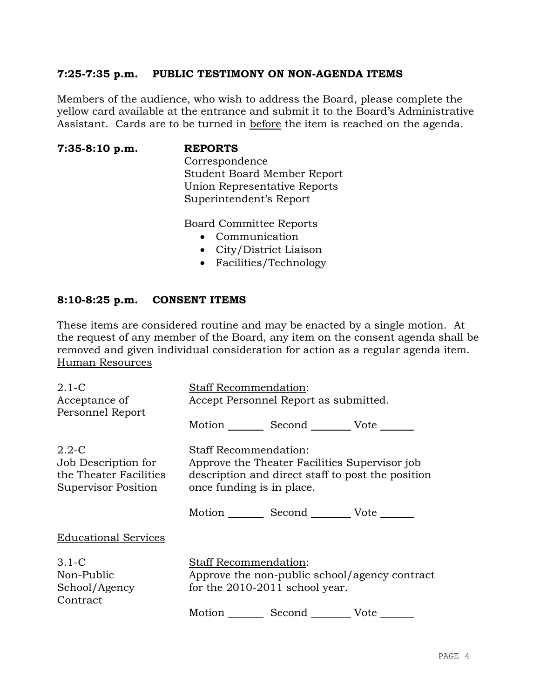## **7:25-7:35 p.m. PUBLIC TESTIMONY ON NON-AGENDA ITEMS**

Members of the audience, who wish to address the Board, please complete the yellow card available at the entrance and submit it to the Board's Administrative Assistant. Cards are to be turned in before the item is reached on the agenda.

**7:35-8:10 p.m. REPORTS**

Correspondence Student Board Member Report Union Representative Reports Superintendent's Report

Board Committee Reports

- Communication
- City/District Liaison
- Facilities/Technology

## **8:10-8:25 p.m. CONSENT ITEMS**

These items are considered routine and may be enacted by a single motion. At the request of any member of the Board, any item on the consent agenda shall be removed and given individual consideration for action as a regular agenda item. Human Resources

| $2.1 - C$<br>Acceptance of<br>Personnel Report                                    | <b>Staff Recommendation:</b><br>Accept Personnel Report as submitted. |                                               |                                                   |
|-----------------------------------------------------------------------------------|-----------------------------------------------------------------------|-----------------------------------------------|---------------------------------------------------|
|                                                                                   |                                                                       | Motion Second Vote                            |                                                   |
| $2.2 - C$<br>Job Description for<br>the Theater Facilities<br>Supervisor Position | <b>Staff Recommendation:</b><br>once funding is in place.             | Approve the Theater Facilities Supervisor job | description and direct staff to post the position |
|                                                                                   |                                                                       | Motion Second Vote                            |                                                   |
| <b>Educational Services</b>                                                       |                                                                       |                                               |                                                   |
| $3.1 - C$<br>Non-Public<br>School/Agency<br>Contract                              | <b>Staff Recommendation:</b>                                          | for the $2010-2011$ school year.              | Approve the non-public school/agency contract     |
|                                                                                   |                                                                       | Motion Second Vote                            |                                                   |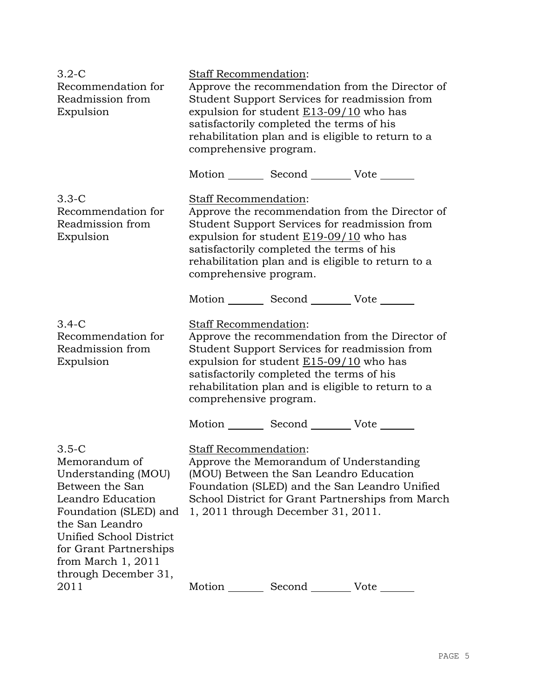| $3.2-C$<br>Recommendation for<br>Readmission from<br>Expulsion                                                                                                                                                                           | <b>Staff Recommendation:</b><br>Approve the recommendation from the Director of<br>Student Support Services for readmission from<br>expulsion for student $E13-09/10$ who has<br>satisfactorily completed the terms of his<br>rehabilitation plan and is eligible to return to a<br>comprehensive program. |  |
|------------------------------------------------------------------------------------------------------------------------------------------------------------------------------------------------------------------------------------------|------------------------------------------------------------------------------------------------------------------------------------------------------------------------------------------------------------------------------------------------------------------------------------------------------------|--|
|                                                                                                                                                                                                                                          | Motion _________ Second __________ Vote _______                                                                                                                                                                                                                                                            |  |
| $3.3 - C$<br>Recommendation for<br>Readmission from<br>Expulsion                                                                                                                                                                         | Staff Recommendation:<br>Approve the recommendation from the Director of<br>Student Support Services for readmission from<br>expulsion for student $E19-09/10$ who has<br>satisfactorily completed the terms of his<br>rehabilitation plan and is eligible to return to a<br>comprehensive program.        |  |
|                                                                                                                                                                                                                                          | Motion _________ Second __________ Vote _______                                                                                                                                                                                                                                                            |  |
| $3.4-C$<br>Recommendation for<br>Readmission from<br>Expulsion                                                                                                                                                                           | Staff Recommendation:<br>Approve the recommendation from the Director of<br>Student Support Services for readmission from<br>expulsion for student $E15-09/10$ who has<br>satisfactorily completed the terms of his<br>rehabilitation plan and is eligible to return to a<br>comprehensive program.        |  |
|                                                                                                                                                                                                                                          | Motion _________ Second __________ Vote _______                                                                                                                                                                                                                                                            |  |
| $3.5-C$<br>Memorandum of<br>Understanding (MOU)<br>Between the San<br>Leandro Education<br>Foundation (SLED) and<br>the San Leandro<br>Unified School District<br>for Grant Partnerships<br>from March $1, 2011$<br>through December 31, | <b>Staff Recommendation:</b><br>Approve the Memorandum of Understanding<br>(MOU) Between the San Leandro Education<br>Foundation (SLED) and the San Leandro Unified<br>School District for Grant Partnerships from March<br>1, 2011 through December 31, 2011.                                             |  |
| 2011                                                                                                                                                                                                                                     | Motion<br>Vote                                                                                                                                                                                                                                                                                             |  |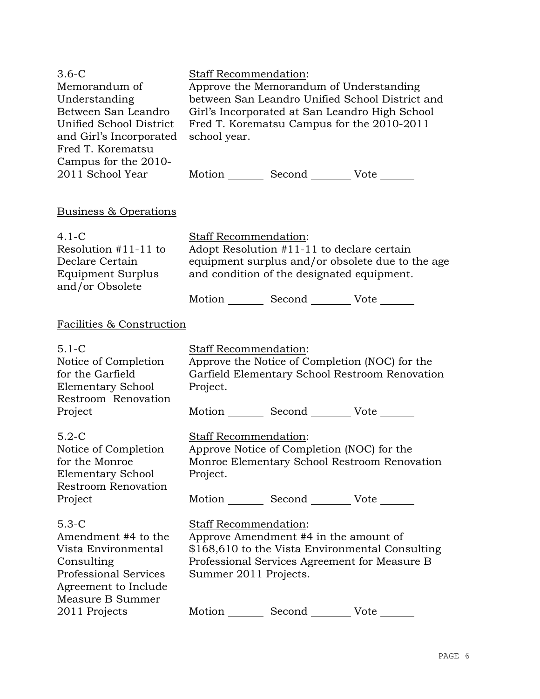| $3.6-C$<br>Memorandum of<br>Understanding<br>Between San Leandro<br>Unified School District<br>and Girl's Incorporated<br>Fred T. Korematsu<br>Campus for the 2010- | Staff Recommendation:<br>school year.                           |        | Approve the Memorandum of Understanding<br>between San Leandro Unified School District and<br>Girl's Incorporated at San Leandro High School<br>Fred T. Korematsu Campus for the 2010-2011      |
|---------------------------------------------------------------------------------------------------------------------------------------------------------------------|-----------------------------------------------------------------|--------|-------------------------------------------------------------------------------------------------------------------------------------------------------------------------------------------------|
| 2011 School Year                                                                                                                                                    |                                                                 |        | Motion _________ Second __________ Vote _______                                                                                                                                                 |
| Business & Operations                                                                                                                                               |                                                                 |        |                                                                                                                                                                                                 |
| $4.1-C$<br>Resolution $#11-11$ to<br>Declare Certain<br>Equipment Surplus<br>and/or Obsolete                                                                        | Staff Recommendation:                                           |        | Adopt Resolution #11-11 to declare certain<br>equipment surplus and/or obsolete due to the age<br>and condition of the designated equipment.<br>Motion _________ Second __________ Vote _______ |
| Facilities & Construction                                                                                                                                           |                                                                 |        |                                                                                                                                                                                                 |
| $5.1 - C$<br>Notice of Completion<br>for the Garfield<br><b>Elementary School</b><br>Restroom Renovation<br>Project                                                 | Staff Recommendation:<br>Project.                               |        | Approve the Notice of Completion (NOC) for the<br>Garfield Elementary School Restroom Renovation<br>Motion _________ Second __________ Vote _______                                             |
| $5.2-C$<br>Notice of Completion<br>for the Monroe<br><b>Elementary School</b><br><b>Restroom Renovation</b><br>Project                                              | Staff Recommendation:<br>Project.                               |        | Approve Notice of Completion (NOC) for the<br>Monroe Elementary School Restroom Renovation<br>Motion _________ Second __________ Vote _______                                                   |
| $5.3-C$<br>Amendment #4 to the<br>Vista Environmental<br>Consulting<br><b>Professional Services</b><br>Agreement to Include<br>Measure B Summer<br>2011 Projects    | <b>Staff Recommendation:</b><br>Summer 2011 Projects.<br>Motion | Second | Approve Amendment #4 in the amount of<br>\$168,610 to the Vista Environmental Consulting<br>Professional Services Agreement for Measure B<br>Vote                                               |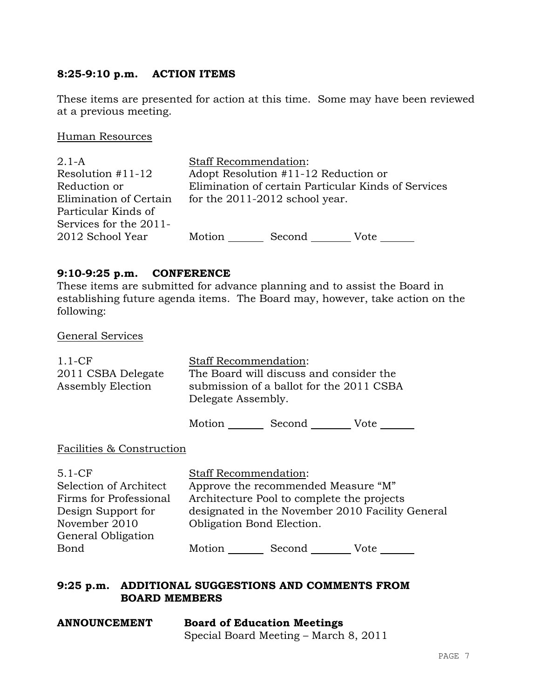# **8:25-9:10 p.m. ACTION ITEMS**

These items are presented for action at this time. Some may have been reviewed at a previous meeting.

Human Resources

| $2.1 - A$              | <b>Staff Recommendation:</b> |                                      |                                                     |
|------------------------|------------------------------|--------------------------------------|-----------------------------------------------------|
| Resolution $#11-12$    |                              | Adopt Resolution #11-12 Reduction or |                                                     |
| Reduction or           |                              |                                      | Elimination of certain Particular Kinds of Services |
| Elimination of Certain |                              | for the $2011-2012$ school year.     |                                                     |
| Particular Kinds of    |                              |                                      |                                                     |
| Services for the 2011- |                              |                                      |                                                     |
| 2012 School Year       | Motion                       | Second                               | Vote                                                |

# **9:10-9:25 p.m. CONFERENCE**

These items are submitted for advance planning and to assist the Board in establishing future agenda items. The Board may, however, take action on the following:

| <b>General Services</b> |  |
|-------------------------|--|
|                         |  |

| $1.1-CF$<br>2011 CSBA Delegate<br>Assembly Election                                                                       | <b>Staff Recommendation:</b><br>Delegate Assembly.        | The Board will discuss and consider the<br>submission of a ballot for the 2011 CSBA |                                                  |
|---------------------------------------------------------------------------------------------------------------------------|-----------------------------------------------------------|-------------------------------------------------------------------------------------|--------------------------------------------------|
|                                                                                                                           |                                                           | Motion Second Vote                                                                  |                                                  |
| Facilities & Construction                                                                                                 |                                                           |                                                                                     |                                                  |
| $5.1-CF$<br>Selection of Architect<br>Firms for Professional<br>Design Support for<br>November 2010<br>General Obligation | <b>Staff Recommendation:</b><br>Obligation Bond Election. | Approve the recommended Measure "M"<br>Architecture Pool to complete the projects   | designated in the November 2010 Facility General |
| Bond                                                                                                                      | Motion                                                    | Second                                                                              | Vote                                             |

Motion Second Vote

## **9:25 p.m. ADDITIONAL SUGGESTIONS AND COMMENTS FROM BOARD MEMBERS**

| <b>ANNOUNCEMENT</b> | <b>Board of Education Meetings</b>    |  |  |
|---------------------|---------------------------------------|--|--|
|                     | Special Board Meeting – March 8, 2011 |  |  |